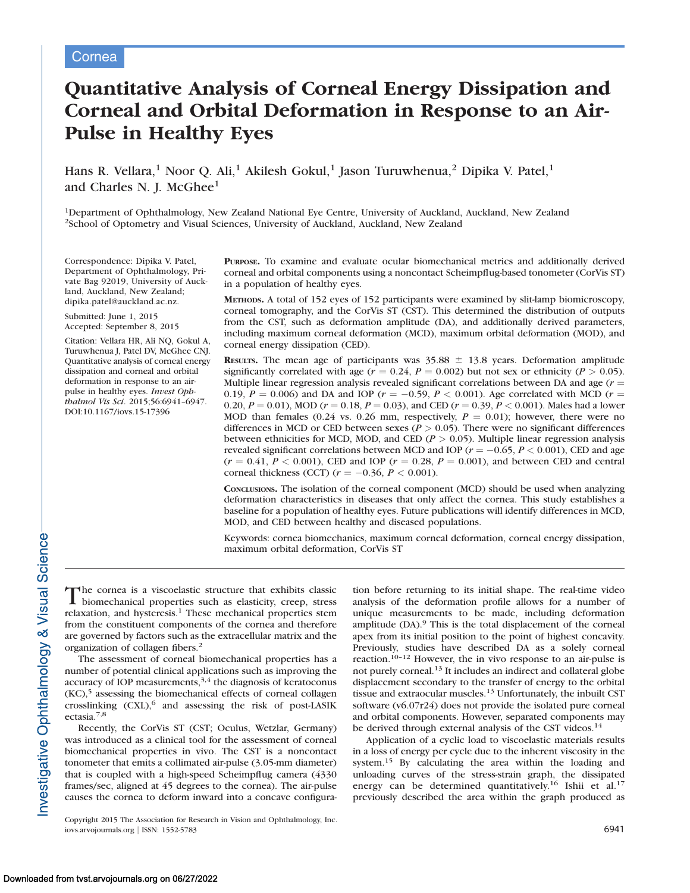# Quantitative Analysis of Corneal Energy Dissipation and Corneal and Orbital Deformation in Response to an Air-Pulse in Healthy Eyes

Hans R. Vellara,<sup>1</sup> Noor Q. Ali,<sup>1</sup> Akilesh Gokul,<sup>1</sup> Jason Turuwhenua,<sup>2</sup> Dipika V. Patel,<sup>1</sup> and Charles N. J. McGhee<sup>1</sup>

1Department of Ophthalmology, New Zealand National Eye Centre, University of Auckland, Auckland, New Zealand 2School of Optometry and Visual Sciences, University of Auckland, Auckland, New Zealand

Correspondence: Dipika V. Patel, Department of Ophthalmology, Private Bag 92019, University of Auckland, Auckland, New Zealand; dipika.patel@auckland.ac.nz.

Submitted: June 1, 2015 Accepted: September 8, 2015

Citation: Vellara HR, Ali NQ, Gokul A, Turuwhenua J, Patel DV, McGhee CNJ. Quantitative analysis of corneal energy dissipation and corneal and orbital deformation in response to an airpulse in healthy eyes. Invest Ophthalmol Vis Sci. 2015;56:6941–6947. DOI:10.1167/iovs.15-17396

PURPOSE. To examine and evaluate ocular biomechanical metrics and additionally derived corneal and orbital components using a noncontact Scheimpflug-based tonometer (CorVis ST) in a population of healthy eyes.

METHODS. A total of 152 eyes of 152 participants were examined by slit-lamp biomicroscopy, corneal tomography, and the CorVis ST (CST). This determined the distribution of outputs from the CST, such as deformation amplitude (DA), and additionally derived parameters, including maximum corneal deformation (MCD), maximum orbital deformation (MOD), and corneal energy dissipation (CED).

RESULTS. The mean age of participants was  $35.88 \pm 13.8$  years. Deformation amplitude significantly correlated with age ( $r = 0.24$ ,  $P = 0.002$ ) but not sex or ethnicity ( $P > 0.05$ ). Multiple linear regression analysis revealed significant correlations between DA and age  $(r =$ 0.19,  $P = 0.006$ ) and DA and IOP ( $r = -0.59$ ,  $P < 0.001$ ). Age correlated with MCD ( $r =$ 0.20,  $P = 0.01$ ), MOD ( $r = 0.18$ ,  $P = 0.03$ ), and CED ( $r = 0.39$ ,  $P < 0.001$ ). Males had a lower MOD than females (0.24 vs. 0.26 mm, respectively,  $P = 0.01$ ); however, there were no differences in MCD or CED between sexes ( $P > 0.05$ ). There were no significant differences between ethnicities for MCD, MOD, and CED ( $P > 0.05$ ). Multiple linear regression analysis revealed significant correlations between MCD and IOP ( $r = -0.65$ ,  $P < 0.001$ ), CED and age  $(r = 0.41, P < 0.001)$ , CED and IOP  $(r = 0.28, P = 0.001)$ , and between CED and central corneal thickness (CCT)  $(r = -0.36, P < 0.001)$ .

CONCLUSIONS. The isolation of the corneal component (MCD) should be used when analyzing deformation characteristics in diseases that only affect the cornea. This study establishes a baseline for a population of healthy eyes. Future publications will identify differences in MCD, MOD, and CED between healthy and diseased populations.

Keywords: cornea biomechanics, maximum corneal deformation, corneal energy dissipation, maximum orbital deformation, CorVis ST

The cornea is a viscoelastic structure that exhibits classic biomechanical properties such as elasticity, creep, stress relaxation, and hysteresis.<sup>1</sup> These mechanical properties stem from the constituent components of the cornea and therefore are governed by factors such as the extracellular matrix and the organization of collagen fibers.<sup>2</sup>

The assessment of corneal biomechanical properties has a number of potential clinical applications such as improving the accuracy of IOP measurements,<sup>3,4</sup> the diagnosis of keratoconus  $(KC)$ ,<sup>5</sup> assessing the biomechanical effects of corneal collagen crosslinking (CXL),<sup>6</sup> and assessing the risk of post-LASIK ectasia.7,8

Recently, the CorVis ST (CST; Oculus, Wetzlar, Germany) was introduced as a clinical tool for the assessment of corneal biomechanical properties in vivo. The CST is a noncontact tonometer that emits a collimated air-pulse (3.05-mm diameter) that is coupled with a high-speed Scheimpflug camera (4330 frames/sec, aligned at 45 degrees to the cornea). The air-pulse causes the cornea to deform inward into a concave configuration before returning to its initial shape. The real-time video analysis of the deformation profile allows for a number of unique measurements to be made, including deformation amplitude (DA).<sup>9</sup> This is the total displacement of the corneal apex from its initial position to the point of highest concavity. Previously, studies have described DA as a solely corneal reaction.10–12 However, the in vivo response to an air-pulse is not purely corneal.<sup>13</sup> It includes an indirect and collateral globe displacement secondary to the transfer of energy to the orbital tissue and extraocular muscles.<sup>13</sup> Unfortunately, the inbuilt CST software (v6.07r24) does not provide the isolated pure corneal and orbital components. However, separated components may be derived through external analysis of the CST videos.<sup>14</sup>

Application of a cyclic load to viscoelastic materials results in a loss of energy per cycle due to the inherent viscosity in the system.<sup>15</sup> By calculating the area within the loading and unloading curves of the stress-strain graph, the dissipated energy can be determined quantitatively.<sup>16</sup> Ishii et al.<sup>17</sup> previously described the area within the graph produced as

Copyright 2015 The Association for Research in Vision and Ophthalmology, Inc. iovs.arvojournals.org j ISSN: 1552-5783 6941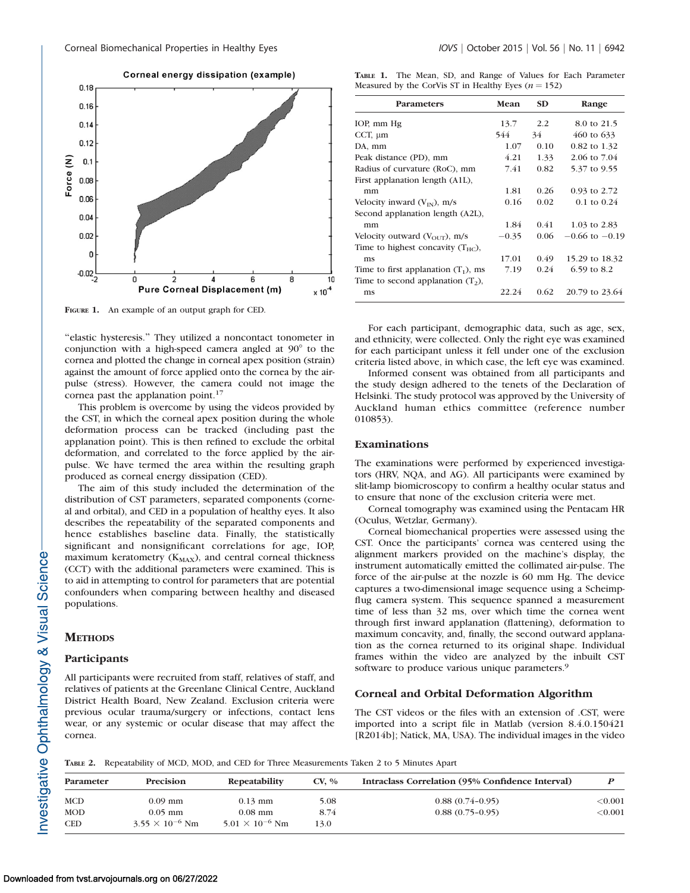

FIGURE 1. An example of an output graph for CED.

"elastic hysteresis." They utilized a noncontact tonometer in conjunction with a high-speed camera angled at  $90^{\circ}$  to the cornea and plotted the change in corneal apex position (strain) against the amount of force applied onto the cornea by the airpulse (stress). However, the camera could not image the cornea past the applanation point.<sup>17</sup>

This problem is overcome by using the videos provided by the CST, in which the corneal apex position during the whole deformation process can be tracked (including past the applanation point). This is then refined to exclude the orbital deformation, and correlated to the force applied by the airpulse. We have termed the area within the resulting graph produced as corneal energy dissipation (CED).

The aim of this study included the determination of the distribution of CST parameters, separated components (corneal and orbital), and CED in a population of healthy eyes. It also describes the repeatability of the separated components and hence establishes baseline data. Finally, the statistically significant and nonsignificant correlations for age, IOP, maximum keratometry  $(K_{MAX})$ , and central corneal thickness (CCT) with the additional parameters were examined. This is to aid in attempting to control for parameters that are potential confounders when comparing between healthy and diseased populations.

## **METHODS**

#### Participants

All participants were recruited from staff, relatives of staff, and relatives of patients at the Greenlane Clinical Centre, Auckland District Health Board, New Zealand. Exclusion criteria were previous ocular trauma/surgery or infections, contact lens wear, or any systemic or ocular disease that may affect the cornea.

TABLE 1. The Mean, SD, and Range of Values for Each Parameter Measured by the CorVis ST in Healthy Eyes ( $n = 152$ )

| <b>Parameters</b>                         | Mean    | <b>SD</b> | <b>Range</b>       |  |
|-------------------------------------------|---------|-----------|--------------------|--|
| IOP, mm Hg                                | 13.7    | 2.2       | 8.0 to 21.5        |  |
| $CCT$ , $\mu$ m                           | 544     | 34        | 460 to 633         |  |
| DA, mm                                    | 1.07    | 0.10      | 0.82 to 1.32       |  |
| Peak distance (PD), mm                    | 4.21    | 1.33      | 2.06 to 7.04       |  |
| Radius of curvature (RoC), mm             | 7.41    | 0.82      | 5.37 to 9.55       |  |
| First applanation length (A1L),           |         |           |                    |  |
| mm                                        | 1.81    | 0.26      | 0.93 to 2.72       |  |
| Velocity inward $(V_{IN})$ , m/s          | 0.16    | 0.02      | $0.1$ to $0.24$    |  |
| Second applanation length (A2L),          |         |           |                    |  |
| mm                                        | 1.84    | 0.41      | 1.03 to 2.83       |  |
| Velocity outward $(V_{\text{OUT}})$ , m/s | $-0.35$ | 0.06      | $-0.66$ to $-0.19$ |  |
| Time to highest concavity $(T_{HC})$ ,    |         |           |                    |  |
| ms                                        | 17.01   | 0.49      | 15.29 to 18.32     |  |
| Time to first applanation $(T_1)$ , ms    | 7.19    | 0.24      | 6.59 to 8.2        |  |
| Time to second applanation $(T_2)$ ,      |         |           |                    |  |
| ms                                        | 22.24   | 0.62      | 20.79 to 23.64     |  |

For each participant, demographic data, such as age, sex, and ethnicity, were collected. Only the right eye was examined for each participant unless it fell under one of the exclusion criteria listed above, in which case, the left eye was examined.

Informed consent was obtained from all participants and the study design adhered to the tenets of the Declaration of Helsinki. The study protocol was approved by the University of Auckland human ethics committee (reference number 010853).

# Examinations

The examinations were performed by experienced investigators (HRV, NQA, and AG). All participants were examined by slit-lamp biomicroscopy to confirm a healthy ocular status and to ensure that none of the exclusion criteria were met.

Corneal tomography was examined using the Pentacam HR (Oculus, Wetzlar, Germany).

Corneal biomechanical properties were assessed using the CST. Once the participants' cornea was centered using the alignment markers provided on the machine's display, the instrument automatically emitted the collimated air-pulse. The force of the air-pulse at the nozzle is 60 mm Hg. The device captures a two-dimensional image sequence using a Scheimpflug camera system. This sequence spanned a measurement time of less than 32 ms, over which time the cornea went through first inward applanation (flattening), deformation to maximum concavity, and, finally, the second outward applanation as the cornea returned to its original shape. Individual frames within the video are analyzed by the inbuilt CST software to produce various unique parameters.<sup>9</sup>

# Corneal and Orbital Deformation Algorithm

The CST videos or the files with an extension of .CST, were imported into a script file in Matlab (version 8.4.0.150421 [R2014b]; Natick, MA, USA). The individual images in the video

TABLE 2. Repeatability of MCD, MOD, and CED for Three Measurements Taken 2 to 5 Minutes Apart

| Parameter  | Precision                | Repeatability            | $CV. \%$ | Intraclass Correlation (95% Confidence Interval) |                |
|------------|--------------------------|--------------------------|----------|--------------------------------------------------|----------------|
| <b>MCD</b> | $0.09$ mm                | $0.13$ mm                | 5.08     | $0.88(0.74-0.95)$                                | $<\!\!0.001$   |
| <b>MOD</b> | $0.05$ mm                | $0.08$ mm                | 8.74     | $0.88(0.75-0.95)$                                | $<$ 0.001 $\,$ |
| CED        | $3.55 \times 10^{-6}$ Nm | $5.01 \times 10^{-6}$ Nm | 13.0     |                                                  |                |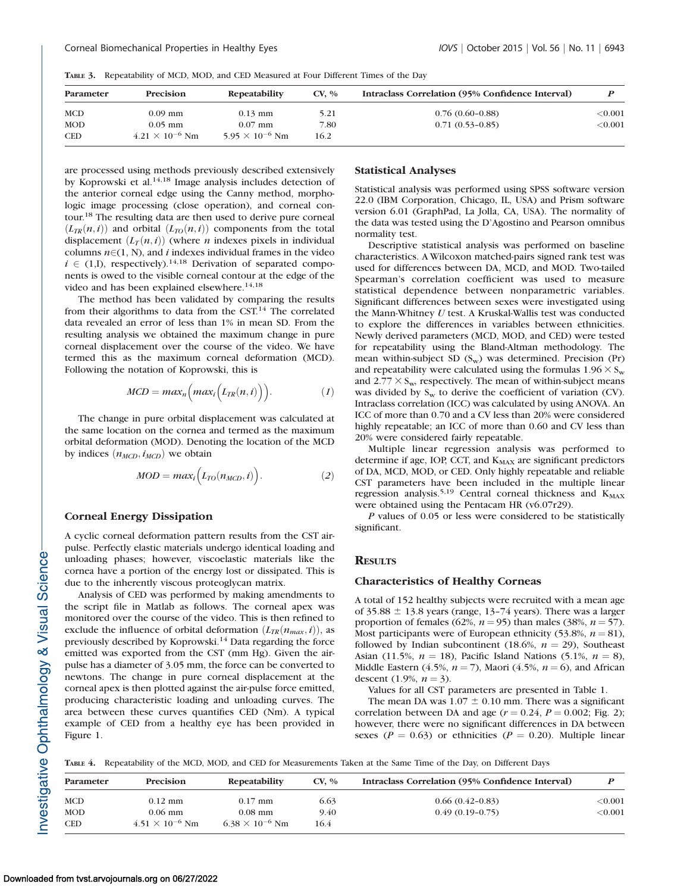TABLE 3. Repeatability of MCD, MOD, and CED Measured at Four Different Times of the Day

| Parameter  | Precision                | Repeatability                     | $CV. \%$ | Intraclass Correlation (95% Confidence Interval) |                |
|------------|--------------------------|-----------------------------------|----------|--------------------------------------------------|----------------|
| MCD        | $0.09$ mm                | $0.13$ mm                         | 5.21     | $0.76(0.60-0.88)$                                | $<\!\!0.001$   |
| <b>MOD</b> | $0.05$ mm                | $0.07$ mm                         | 7.80     | $0.71(0.53 - 0.85)$                              | $<$ 0.001 $\,$ |
| <b>CED</b> | $4.21 \times 10^{-6}$ Nm | 5.95 $\times$ 10 <sup>-6</sup> Nm | 16.2     |                                                  |                |

are processed using methods previously described extensively by Koprowski et al.<sup>14,18</sup> Image analysis includes detection of the anterior corneal edge using the Canny method, morphologic image processing (close operation), and corneal contour.18 The resulting data are then used to derive pure corneal  $(L_{TR}(n, i))$  and orbital  $(L_{TO}(n, i))$  components from the total displacement  $(L_T(n, i))$  (where *n* indexes pixels in individual columns  $n \in (1, N)$ , and *i* indexes individual frames in the video  $i \in (1, I)$ , respectively).<sup>14,18</sup> Derivation of separated components is owed to the visible corneal contour at the edge of the video and has been explained elsewhere.<sup>14,18</sup>

The method has been validated by comparing the results from their algorithms to data from the CST.<sup>14</sup> The correlated data revealed an error of less than 1% in mean SD. From the resulting analysis we obtained the maximum change in pure corneal displacement over the course of the video. We have termed this as the maximum corneal deformation (MCD). Following the notation of Koprowski, this is

$$
MCD = max_n \Big( max_i \Big( L_{TR}(n, i) \Big) \Big). \qquad (1)
$$

The change in pure orbital displacement was calculated at the same location on the cornea and termed as the maximum orbital deformation (MOD). Denoting the location of the MCD by indices  $(n_{MCD}, i_{MCD})$  we obtain

$$
MOD = max_i (L_{TO}(n_{MCD}, i)). \tag{2}
$$

#### Corneal Energy Dissipation

A cyclic corneal deformation pattern results from the CST airpulse. Perfectly elastic materials undergo identical loading and unloading phases; however, viscoelastic materials like the cornea have a portion of the energy lost or dissipated. This is due to the inherently viscous proteoglycan matrix.

Analysis of CED was performed by making amendments to the script file in Matlab as follows. The corneal apex was monitored over the course of the video. This is then refined to exclude the influence of orbital deformation  $(L_{TR}(n_{max}, i))$ , as previously described by Koprowski.<sup>14</sup> Data regarding the force emitted was exported from the CST (mm Hg). Given the airpulse has a diameter of 3.05 mm, the force can be converted to newtons. The change in pure corneal displacement at the corneal apex is then plotted against the air-pulse force emitted, producing characteristic loading and unloading curves. The area between these curves quantifies CED (Nm). A typical example of CED from a healthy eye has been provided in Figure 1.

#### Statistical Analyses

Statistical analysis was performed using SPSS software version 22.0 (IBM Corporation, Chicago, IL, USA) and Prism software version 6.01 (GraphPad, La Jolla, CA, USA). The normality of the data was tested using the D'Agostino and Pearson omnibus normality test.

Descriptive statistical analysis was performed on baseline characteristics. A Wilcoxon matched-pairs signed rank test was used for differences between DA, MCD, and MOD. Two-tailed Spearman's correlation coefficient was used to measure statistical dependence between nonparametric variables. Significant differences between sexes were investigated using the Mann-Whitney U test. A Kruskal-Wallis test was conducted to explore the differences in variables between ethnicities. Newly derived parameters (MCD, MOD, and CED) were tested for repeatability using the Bland-Altman methodology. The mean within-subject SD  $(S_w)$  was determined. Precision (Pr) and repeatability were calculated using the formulas  $1.96 \times S_w$ and  $2.77 \times S_{\text{w}}$ , respectively. The mean of within-subject means was divided by  $S_w$  to derive the coefficient of variation (CV). Intraclass correlation (ICC) was calculated by using ANOVA. An ICC of more than 0.70 and a CV less than 20% were considered highly repeatable; an ICC of more than 0.60 and CV less than 20% were considered fairly repeatable.

Multiple linear regression analysis was performed to determine if age, IOP, CCT, and  $K_{MAX}$  are significant predictors of DA, MCD, MOD, or CED. Only highly repeatable and reliable CST parameters have been included in the multiple linear regression analysis.<sup>5,19</sup> Central corneal thickness and  $K_{MAX}$ were obtained using the Pentacam HR (v6.07r29).

P values of 0.05 or less were considered to be statistically significant.

#### **RESULTS**

## Characteristics of Healthy Corneas

A total of 152 healthy subjects were recruited with a mean age of  $35.88 \pm 13.8$  years (range, 13-74 years). There was a larger proportion of females (62%,  $n = 95$ ) than males (38%,  $n = 57$ ). Most participants were of European ethnicity (53.8%,  $n = 81$ ), followed by Indian subcontinent (18.6%,  $n = 29$ ), Southeast Asian (11.5%,  $n = 18$ ), Pacific Island Nations (5.1%,  $n = 8$ ), Middle Eastern (4.5%,  $n = 7$ ), Maori (4.5%,  $n = 6$ ), and African descent (1.9%,  $n = 3$ ).

Values for all CST parameters are presented in Table 1.

The mean DA was  $1.07 \pm 0.10$  mm. There was a significant correlation between DA and age ( $r = 0.24$ ,  $P = 0.002$ ; Fig. 2); however, there were no significant differences in DA between sexes ( $P = 0.63$ ) or ethnicities ( $P = 0.20$ ). Multiple linear

TABLE 4. Repeatability of the MCD, MOD, and CED for Measurements Taken at the Same Time of the Day, on Different Days

| <b>Parameter</b> | Precision                | Repeatability            | $CV. \%$ | Intraclass Correlation (95% Confidence Interval) |              |
|------------------|--------------------------|--------------------------|----------|--------------------------------------------------|--------------|
| <b>MCD</b>       | $0.12$ mm                | $0.17$ mm                | 6.63     | $0.66(0.42-0.83)$                                | $<\!\!0.001$ |
| <b>MOD</b>       | $0.06$ mm                | $0.08$ mm                | 9.40     | $0.49(0.19-0.75)$                                | < 0.001      |
| CED              | $4.51 \times 10^{-6}$ Nm | $6.38 \times 10^{-6}$ Nm | 16.4     |                                                  |              |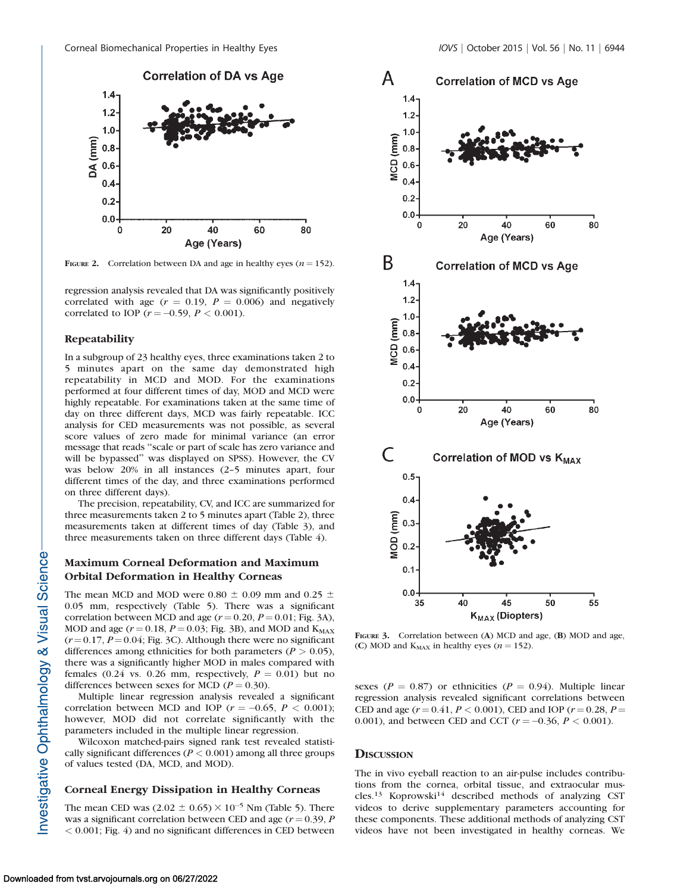

FIGURE 2. Correlation between DA and age in healthy eyes ( $n = 152$ ).

regression analysis revealed that DA was significantly positively correlated with age  $(r = 0.19, P = 0.006)$  and negatively correlated to IOP ( $r = -0.59$ ,  $P < 0.001$ ).

#### Repeatability

In a subgroup of 23 healthy eyes, three examinations taken 2 to 5 minutes apart on the same day demonstrated high repeatability in MCD and MOD. For the examinations performed at four different times of day, MOD and MCD were highly repeatable. For examinations taken at the same time of day on three different days, MCD was fairly repeatable. ICC analysis for CED measurements was not possible, as several score values of zero made for minimal variance (an error message that reads ''scale or part of scale has zero variance and will be bypassed'' was displayed on SPSS). However, the CV was below 20% in all instances (2–5 minutes apart, four different times of the day, and three examinations performed on three different days).

The precision, repeatability, CV, and ICC are summarized for three measurements taken 2 to 5 minutes apart (Table 2), three measurements taken at different times of day (Table 3), and three measurements taken on three different days (Table 4).

# Maximum Corneal Deformation and Maximum Orbital Deformation in Healthy Corneas

The mean MCD and MOD were 0.80  $\pm$  0.09 mm and 0.25  $\pm$ 0.05 mm, respectively (Table 5). There was a significant correlation between MCD and age  $(r = 0.20, P = 0.01; Fig. 3A)$ , MOD and age ( $r = 0.18$ ,  $P = 0.03$ ; Fig. 3B), and MOD and K<sub>MAX</sub>  $(r=0.17, P=0.04;$  Fig. 3C). Although there were no significant differences among ethnicities for both parameters ( $P > 0.05$ ), there was a significantly higher MOD in males compared with females (0.24 vs. 0.26 mm, respectively,  $P = 0.01$ ) but no differences between sexes for MCD ( $P = 0.30$ ).

Multiple linear regression analysis revealed a significant correlation between MCD and IOP ( $r = -0.65$ ,  $P < 0.001$ ); however, MOD did not correlate significantly with the parameters included in the multiple linear regression.

Wilcoxon matched-pairs signed rank test revealed statistically significant differences ( $P < 0.001$ ) among all three groups of values tested (DA, MCD, and MOD).

# Corneal Energy Dissipation in Healthy Corneas

The mean CED was  $(2.02 \pm 0.65) \times 10^{-5}$  Nm (Table 5). There was a significant correlation between CED and age  $(r = 0.39, P)$ < 0.001; Fig. 4) and no significant differences in CED between



FIGURE 3. Correlation between (A) MCD and age, (B) MOD and age, (C) MOD and  $K_{MAX}$  in healthy eyes ( $n = 152$ ).

sexes ( $P = 0.87$ ) or ethnicities ( $P = 0.94$ ). Multiple linear regression analysis revealed significant correlations between CED and age ( $r = 0.41$ ,  $P < 0.001$ ), CED and IOP ( $r = 0.28$ ,  $P =$ 0.001), and between CED and CCT  $(r = -0.36, P < 0.001)$ .

## **DISCUSSION**

The in vivo eyeball reaction to an air-pulse includes contributions from the cornea, orbital tissue, and extraocular mus $cles.^{13}$  Koprowski<sup>14</sup> described methods of analyzing CST videos to derive supplementary parameters accounting for these components. These additional methods of analyzing CST videos have not been investigated in healthy corneas. We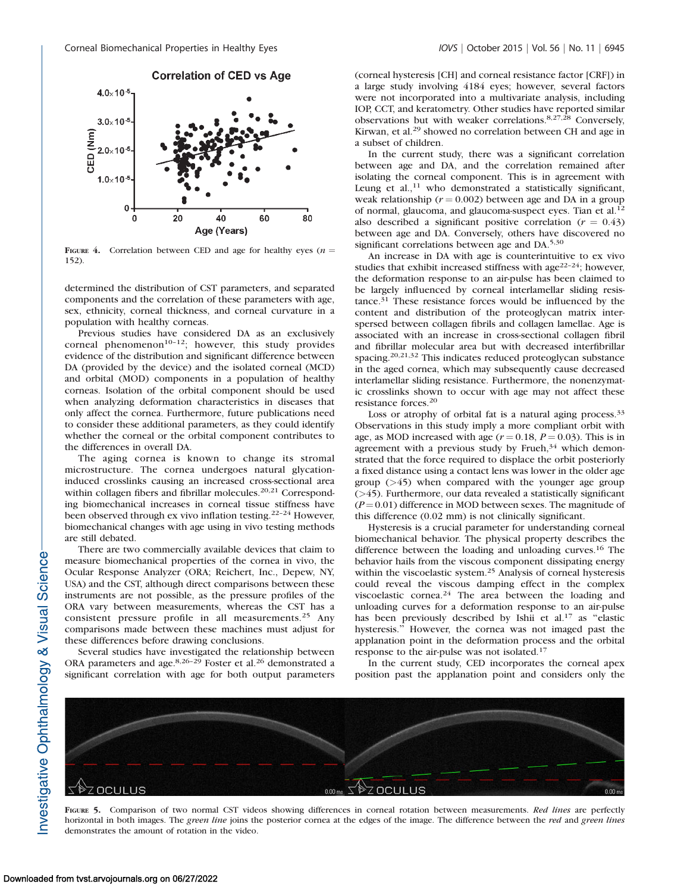

FIGURE 4. Correlation between CED and age for healthy eyes ( $n =$ 152).

determined the distribution of CST parameters, and separated components and the correlation of these parameters with age, sex, ethnicity, corneal thickness, and corneal curvature in a population with healthy corneas.

Previous studies have considered DA as an exclusively corneal phenomenon<sup>10-12</sup>; however, this study provides evidence of the distribution and significant difference between DA (provided by the device) and the isolated corneal (MCD) and orbital (MOD) components in a population of healthy corneas. Isolation of the orbital component should be used when analyzing deformation characteristics in diseases that only affect the cornea. Furthermore, future publications need to consider these additional parameters, as they could identify whether the corneal or the orbital component contributes to the differences in overall DA.

The aging cornea is known to change its stromal microstructure. The cornea undergoes natural glycationinduced crosslinks causing an increased cross-sectional area within collagen fibers and fibrillar molecules.<sup>20,21</sup> Corresponding biomechanical increases in corneal tissue stiffness have been observed through ex vivo inflation testing.<sup>22–24</sup> However, biomechanical changes with age using in vivo testing methods are still debated.

There are two commercially available devices that claim to measure biomechanical properties of the cornea in vivo, the Ocular Response Analyzer (ORA; Reichert, Inc., Depew, NY, USA) and the CST, although direct comparisons between these instruments are not possible, as the pressure profiles of the ORA vary between measurements, whereas the CST has a consistent pressure profile in all measurements.<sup>25</sup> Any comparisons made between these machines must adjust for these differences before drawing conclusions.

Several studies have investigated the relationship between ORA parameters and age.<sup>8,26-29</sup> Foster et al.<sup>26</sup> demonstrated a significant correlation with age for both output parameters (corneal hysteresis [CH] and corneal resistance factor [CRF]) in a large study involving 4184 eyes; however, several factors were not incorporated into a multivariate analysis, including IOP, CCT, and keratometry. Other studies have reported similar observations but with weaker correlations.8,27,28 Conversely, Kirwan, et al.<sup>29</sup> showed no correlation between CH and age in a subset of children.

In the current study, there was a significant correlation between age and DA, and the correlation remained after isolating the corneal component. This is in agreement with Leung et al., $11$  who demonstrated a statistically significant, weak relationship ( $r = 0.002$ ) between age and DA in a group of normal, glaucoma, and glaucoma-suspect eyes. Tian et al.<sup>12</sup> also described a significant positive correlation ( $r = 0.43$ ) between age and DA. Conversely, others have discovered no significant correlations between age and DA.<sup>5,30</sup>

An increase in DA with age is counterintuitive to ex vivo studies that exhibit increased stiffness with age<sup>22-24</sup>; however, the deformation response to an air-pulse has been claimed to be largely influenced by corneal interlamellar sliding resistance.31 These resistance forces would be influenced by the content and distribution of the proteoglycan matrix interspersed between collagen fibrils and collagen lamellae. Age is associated with an increase in cross-sectional collagen fibril and fibrillar molecular area but with decreased interfibrillar spacing.20,21,32 This indicates reduced proteoglycan substance in the aged cornea, which may subsequently cause decreased interlamellar sliding resistance. Furthermore, the nonenzymatic crosslinks shown to occur with age may not affect these resistance forces.<sup>20</sup>

Loss or atrophy of orbital fat is a natural aging process.<sup>33</sup> Observations in this study imply a more compliant orbit with age, as MOD increased with age ( $r = 0.18$ ,  $P = 0.03$ ). This is in agreement with a previous study by Frueh, $34$  which demonstrated that the force required to displace the orbit posteriorly a fixed distance using a contact lens was lower in the older age group  $(>\!45)$  when compared with the younger age group (>45). Furthermore, our data revealed a statistically significant  $(P=0.01)$  difference in MOD between sexes. The magnitude of this difference (0.02 mm) is not clinically significant.

Hysteresis is a crucial parameter for understanding corneal biomechanical behavior. The physical property describes the difference between the loading and unloading curves.<sup>16</sup> The behavior hails from the viscous component dissipating energy within the viscoelastic system.<sup>25</sup> Analysis of corneal hysteresis could reveal the viscous damping effect in the complex viscoelastic cornea.<sup>24</sup> The area between the loading and unloading curves for a deformation response to an air-pulse has been previously described by Ishii et al.<sup>17</sup> as "elastic hysteresis.'' However, the cornea was not imaged past the applanation point in the deformation process and the orbital response to the air-pulse was not isolated.<sup>17</sup>

In the current study, CED incorporates the corneal apex position past the applanation point and considers only the



FIGURE 5. Comparison of two normal CST videos showing differences in corneal rotation between measurements. Red lines are perfectly horizontal in both images. The green line joins the posterior cornea at the edges of the image. The difference between the red and green lines demonstrates the amount of rotation in the video.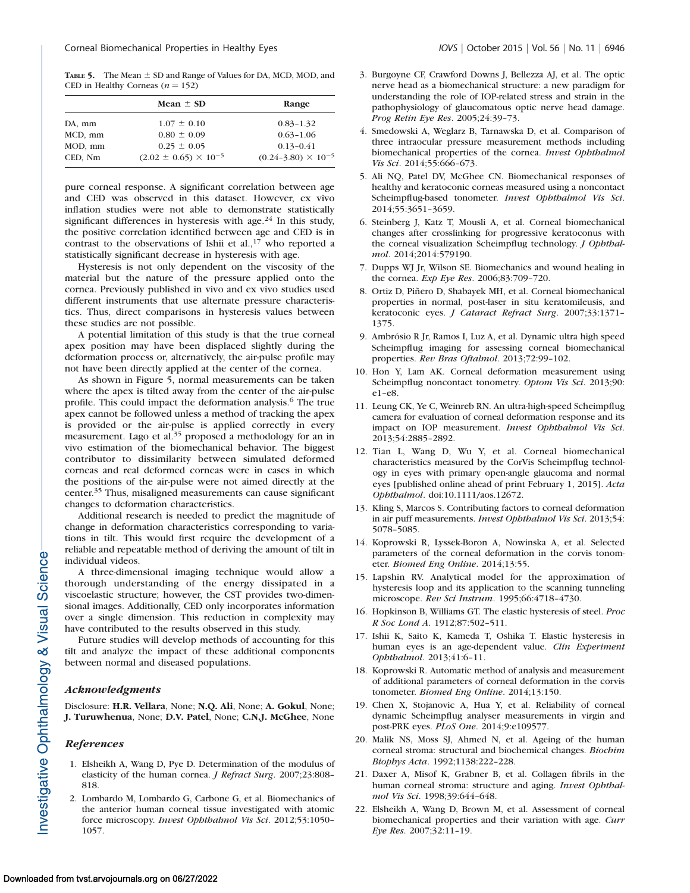TABLE 5. The Mean  $\pm$  SD and Range of Values for DA, MCD, MOD, and CED in Healthy Corneas  $(n = 152)$ 

|                    | Mean $\pm$ SD                                       | Range                                           |
|--------------------|-----------------------------------------------------|-------------------------------------------------|
| DA, mm             | $1.07 \pm 0.10$                                     | $0.83 - 1.32$                                   |
| MCD, mm            | $0.80 \pm 0.09$                                     | $0.63 - 1.06$                                   |
| MOD, mm<br>CED, Nm | $0.25 \pm 0.05$<br>$(2.02 \pm 0.65) \times 10^{-5}$ | $0.13 - 0.41$<br>$(0.24 - 3.80) \times 10^{-5}$ |

pure corneal response. A significant correlation between age and CED was observed in this dataset. However, ex vivo inflation studies were not able to demonstrate statistically significant differences in hysteresis with age. $24$  In this study, the positive correlation identified between age and CED is in contrast to the observations of Ishii et al.,<sup>17</sup> who reported a statistically significant decrease in hysteresis with age.

Hysteresis is not only dependent on the viscosity of the material but the nature of the pressure applied onto the cornea. Previously published in vivo and ex vivo studies used different instruments that use alternate pressure characteristics. Thus, direct comparisons in hysteresis values between these studies are not possible.

A potential limitation of this study is that the true corneal apex position may have been displaced slightly during the deformation process or, alternatively, the air-pulse profile may not have been directly applied at the center of the cornea.

As shown in Figure 5, normal measurements can be taken where the apex is tilted away from the center of the air-pulse profile. This could impact the deformation analysis.<sup>6</sup> The true apex cannot be followed unless a method of tracking the apex is provided or the air-pulse is applied correctly in every measurement. Lago et al.<sup>35</sup> proposed a methodology for an in vivo estimation of the biomechanical behavior. The biggest contributor to dissimilarity between simulated deformed corneas and real deformed corneas were in cases in which the positions of the air-pulse were not aimed directly at the center.<sup>35</sup> Thus, misaligned measurements can cause significant changes to deformation characteristics.

Additional research is needed to predict the magnitude of change in deformation characteristics corresponding to variations in tilt. This would first require the development of a reliable and repeatable method of deriving the amount of tilt in individual videos.

A three-dimensional imaging technique would allow a thorough understanding of the energy dissipated in a viscoelastic structure; however, the CST provides two-dimensional images. Additionally, CED only incorporates information over a single dimension. This reduction in complexity may have contributed to the results observed in this study.

Future studies will develop methods of accounting for this tilt and analyze the impact of these additional components between normal and diseased populations.

## Acknowledgments

Disclosure: H.R. Vellara, None; N.Q. Ali, None; A. Gokul, None; J. Turuwhenua, None; D.V. Patel, None; C.N.J. McGhee, None

# **References**

- 1. Elsheikh A, Wang D, Pye D. Determination of the modulus of elasticity of the human cornea. J Refract Surg. 2007;23:808– 818.
- 2. Lombardo M, Lombardo G, Carbone G, et al. Biomechanics of the anterior human corneal tissue investigated with atomic force microscopy. Invest Ophthalmol Vis Sci. 2012;53:1050– 1057.
- 3. Burgoyne CF, Crawford Downs J, Bellezza AJ, et al. The optic nerve head as a biomechanical structure: a new paradigm for understanding the role of IOP-related stress and strain in the pathophysiology of glaucomatous optic nerve head damage. Prog Retin Eye Res. 2005;24:39–73.
- 4. Smedowski A, Weglarz B, Tarnawska D, et al. Comparison of three intraocular pressure measurement methods including biomechanical properties of the cornea. Invest Ophthalmol Vis Sci. 2014;55:666–673.
- 5. Ali NQ, Patel DV, McGhee CN. Biomechanical responses of healthy and keratoconic corneas measured using a noncontact Scheimpflug-based tonometer. Invest Ophthalmol Vis Sci. 2014;55:3651–3659.
- 6. Steinberg J, Katz T, Mousli A, et al. Corneal biomechanical changes after crosslinking for progressive keratoconus with the corneal visualization Scheimpflug technology. J Ophthalmol. 2014;2014:579190.
- 7. Dupps WJ Jr, Wilson SE. Biomechanics and wound healing in the cornea. Exp Eye Res. 2006;83:709–720.
- 8. Ortiz D, Piñero D, Shabayek MH, et al. Corneal biomechanical properties in normal, post-laser in situ keratomileusis, and keratoconic eyes. J Cataract Refract Surg. 2007;33:1371– 1375.
- 9. Ambrósio R Jr, Ramos I, Luz A, et al. Dynamic ultra high speed Scheimpflug imaging for assessing corneal biomechanical properties. Rev Bras Oftalmol. 2013;72:99–102.
- 10. Hon Y, Lam AK. Corneal deformation measurement using Scheimpflug noncontact tonometry. Optom Vis Sci. 2013;90: e1–e8.
- 11. Leung CK, Ye C, Weinreb RN. An ultra-high-speed Scheimpflug camera for evaluation of corneal deformation response and its impact on IOP measurement. Invest Ophthalmol Vis Sci. 2013;54:2885–2892.
- 12. Tian L, Wang D, Wu Y, et al. Corneal biomechanical characteristics measured by the CorVis Scheimpflug technology in eyes with primary open-angle glaucoma and normal eyes [published online ahead of print February 1, 2015]. Acta Ophthalmol. doi:10.1111/aos.12672.
- 13. Kling S, Marcos S. Contributing factors to corneal deformation in air puff measurements. Invest Ophthalmol Vis Sci. 2013;54: 5078–5085.
- 14. Koprowski R, Lyssek-Boron A, Nowinska A, et al. Selected parameters of the corneal deformation in the corvis tonometer. Biomed Eng Online. 2014;13:55.
- 15. Lapshin RV. Analytical model for the approximation of hysteresis loop and its application to the scanning tunneling microscope. Rev Sci Instrum. 1995;66:4718–4730.
- 16. Hopkinson B, Williams GT. The elastic hysteresis of steel. Proc R Soc Lond A. 1912;87:502–511.
- 17. Ishii K, Saito K, Kameda T, Oshika T. Elastic hysteresis in human eyes is an age-dependent value. Clin Experiment Ophthalmol. 2013;41:6–11.
- 18. Koprowski R. Automatic method of analysis and measurement of additional parameters of corneal deformation in the corvis tonometer. Biomed Eng Online. 2014;13:150.
- 19. Chen X, Stojanovic A, Hua Y, et al. Reliability of corneal dynamic Scheimpflug analyser measurements in virgin and post-PRK eyes. PLoS One. 2014;9:e109577.
- 20. Malik NS, Moss SJ, Ahmed N, et al. Ageing of the human corneal stroma: structural and biochemical changes. Biochim Biophys Acta. 1992;1138:222–228.
- 21. Daxer A, Misof K, Grabner B, et al. Collagen fibrils in the human corneal stroma: structure and aging. Invest Ophthalmol Vis Sci. 1998;39:644–648.
- 22. Elsheikh A, Wang D, Brown M, et al. Assessment of corneal biomechanical properties and their variation with age. Curr Eye Res. 2007;32:11–19.